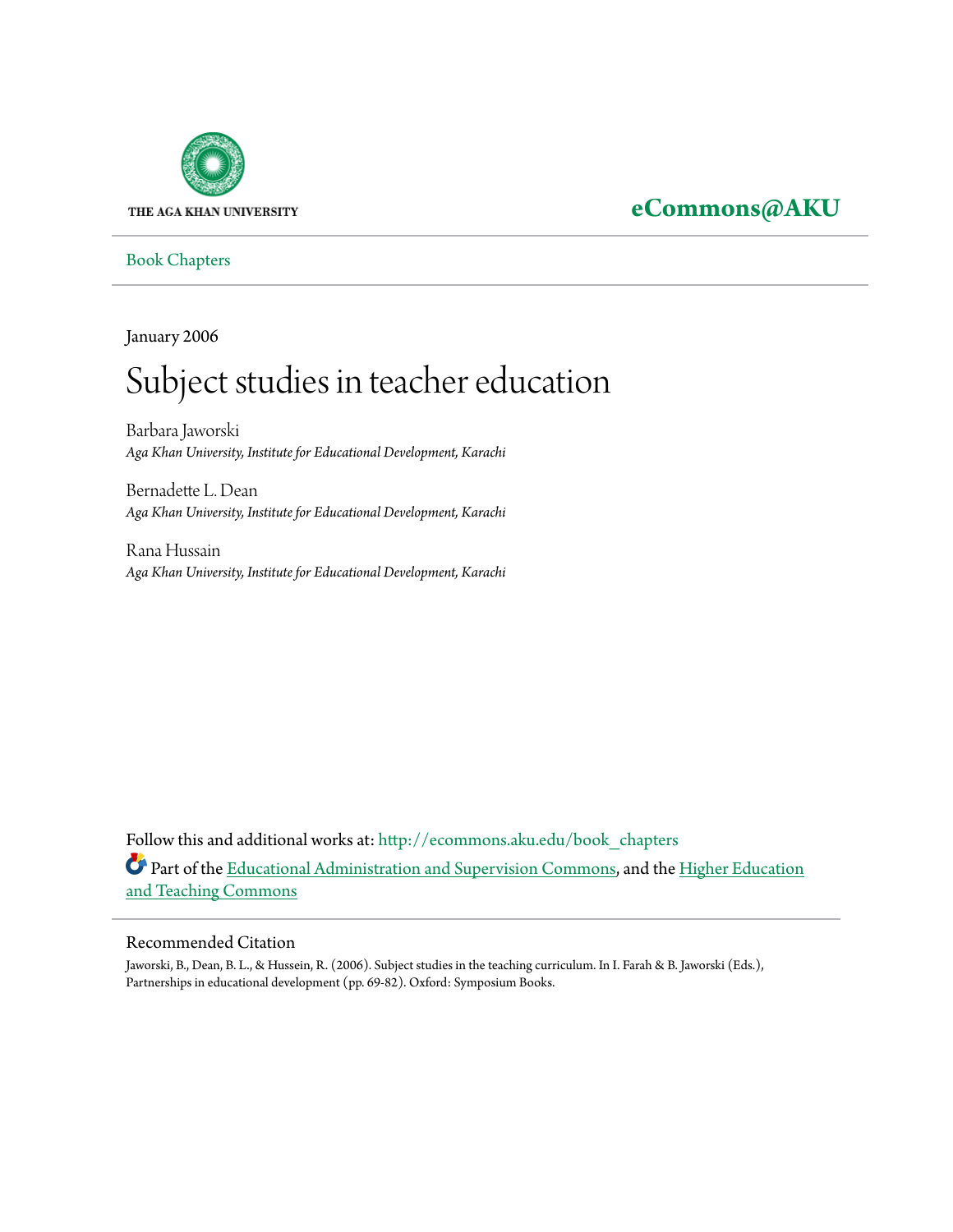

# **[eCommons@AKU](http://ecommons.aku.edu?utm_source=ecommons.aku.edu%2Fbook_chapters%2F24&utm_medium=PDF&utm_campaign=PDFCoverPages)**

[Book Chapters](http://ecommons.aku.edu/book_chapters?utm_source=ecommons.aku.edu%2Fbook_chapters%2F24&utm_medium=PDF&utm_campaign=PDFCoverPages)

January 2006

# Subject studies in teacher education

Barbara Jaworski *Aga Khan University, Institute for Educational Development, Karachi*

Bernadette L. Dean *Aga Khan University, Institute for Educational Development, Karachi*

Rana Hussain *Aga Khan University, Institute for Educational Development, Karachi*

Follow this and additional works at: [http://ecommons.aku.edu/book\\_chapters](http://ecommons.aku.edu/book_chapters?utm_source=ecommons.aku.edu%2Fbook_chapters%2F24&utm_medium=PDF&utm_campaign=PDFCoverPages) Part of the [Educational Administration and Supervision Commons,](http://network.bepress.com/hgg/discipline/787?utm_source=ecommons.aku.edu%2Fbook_chapters%2F24&utm_medium=PDF&utm_campaign=PDFCoverPages) and the [Higher Education](http://network.bepress.com/hgg/discipline/806?utm_source=ecommons.aku.edu%2Fbook_chapters%2F24&utm_medium=PDF&utm_campaign=PDFCoverPages) [and Teaching Commons](http://network.bepress.com/hgg/discipline/806?utm_source=ecommons.aku.edu%2Fbook_chapters%2F24&utm_medium=PDF&utm_campaign=PDFCoverPages)

## Recommended Citation

Jaworski, B., Dean, B. L., & Hussein, R. (2006). Subject studies in the teaching curriculum. In I. Farah & B. Jaworski (Eds.), Partnerships in educational development (pp. 69-82). Oxford: Symposium Books.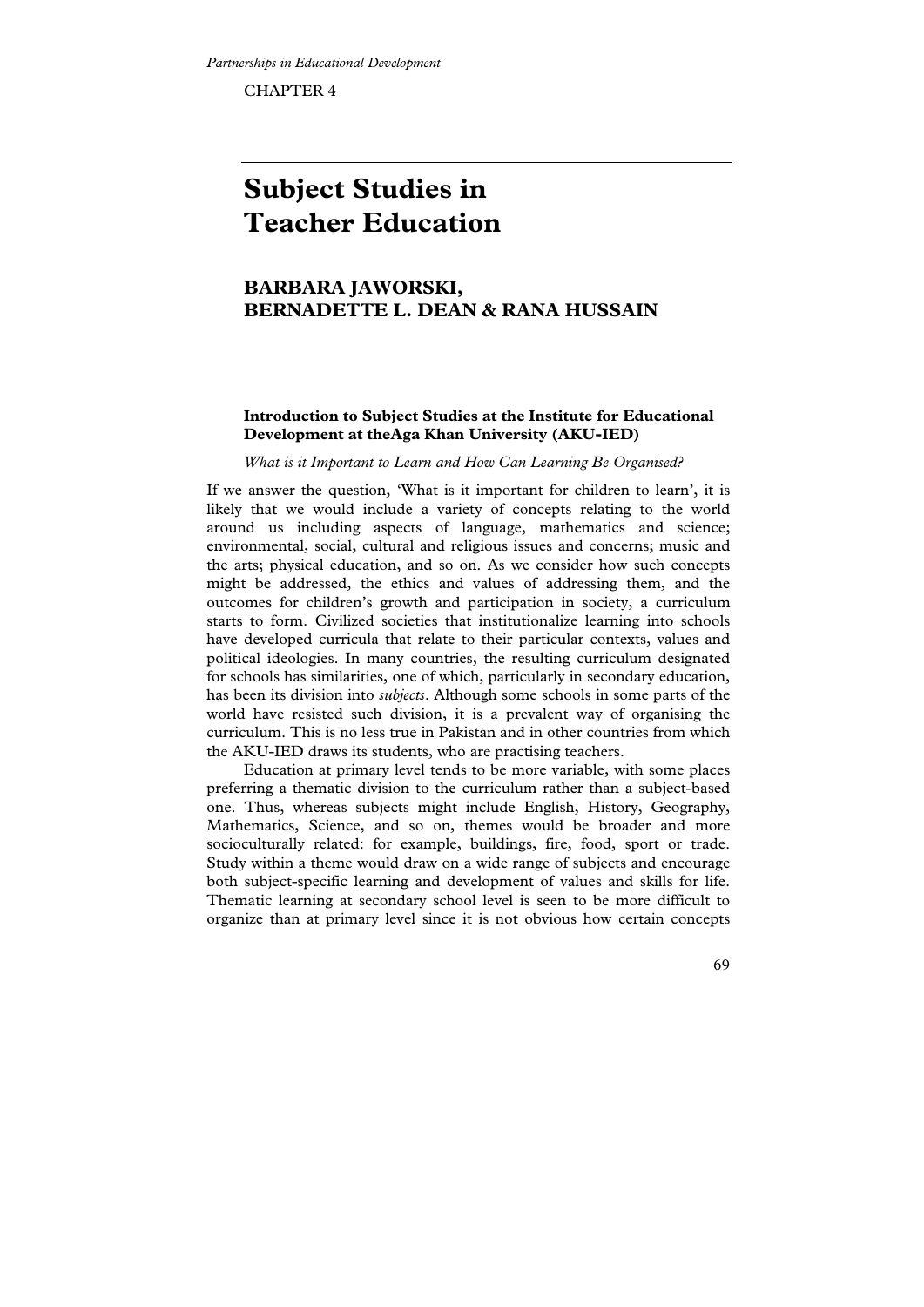CHAPTER 4

# **Subject Studies in Teacher Education**

# **BARBARA JAWORSKI, BERNADETTE L. DEAN & RANA HUSSAIN**

## **Introduction to Subject Studies at the Institute for Educational Development at theAga Khan University (AKU-IED)**

#### *What is it Important to Learn and How Can Learning Be Organised?*

If we answer the question, 'What is it important for children to learn', it is likely that we would include a variety of concepts relating to the world around us including aspects of language, mathematics and science; environmental, social, cultural and religious issues and concerns; music and the arts; physical education, and so on. As we consider how such concepts might be addressed, the ethics and values of addressing them, and the outcomes for children's growth and participation in society, a curriculum starts to form. Civilized societies that institutionalize learning into schools have developed curricula that relate to their particular contexts, values and political ideologies. In many countries, the resulting curriculum designated for schools has similarities, one of which, particularly in secondary education, has been its division into *subjects*. Although some schools in some parts of the world have resisted such division, it is a prevalent way of organising the curriculum. This is no less true in Pakistan and in other countries from which the AKU-IED draws its students, who are practising teachers.

Education at primary level tends to be more variable, with some places preferring a thematic division to the curriculum rather than a subject-based one. Thus, whereas subjects might include English, History, Geography, Mathematics, Science, and so on, themes would be broader and more socioculturally related: for example, buildings, fire, food, sport or trade. Study within a theme would draw on a wide range of subjects and encourage both subject-specific learning and development of values and skills for life. Thematic learning at secondary school level is seen to be more difficult to organize than at primary level since it is not obvious how certain concepts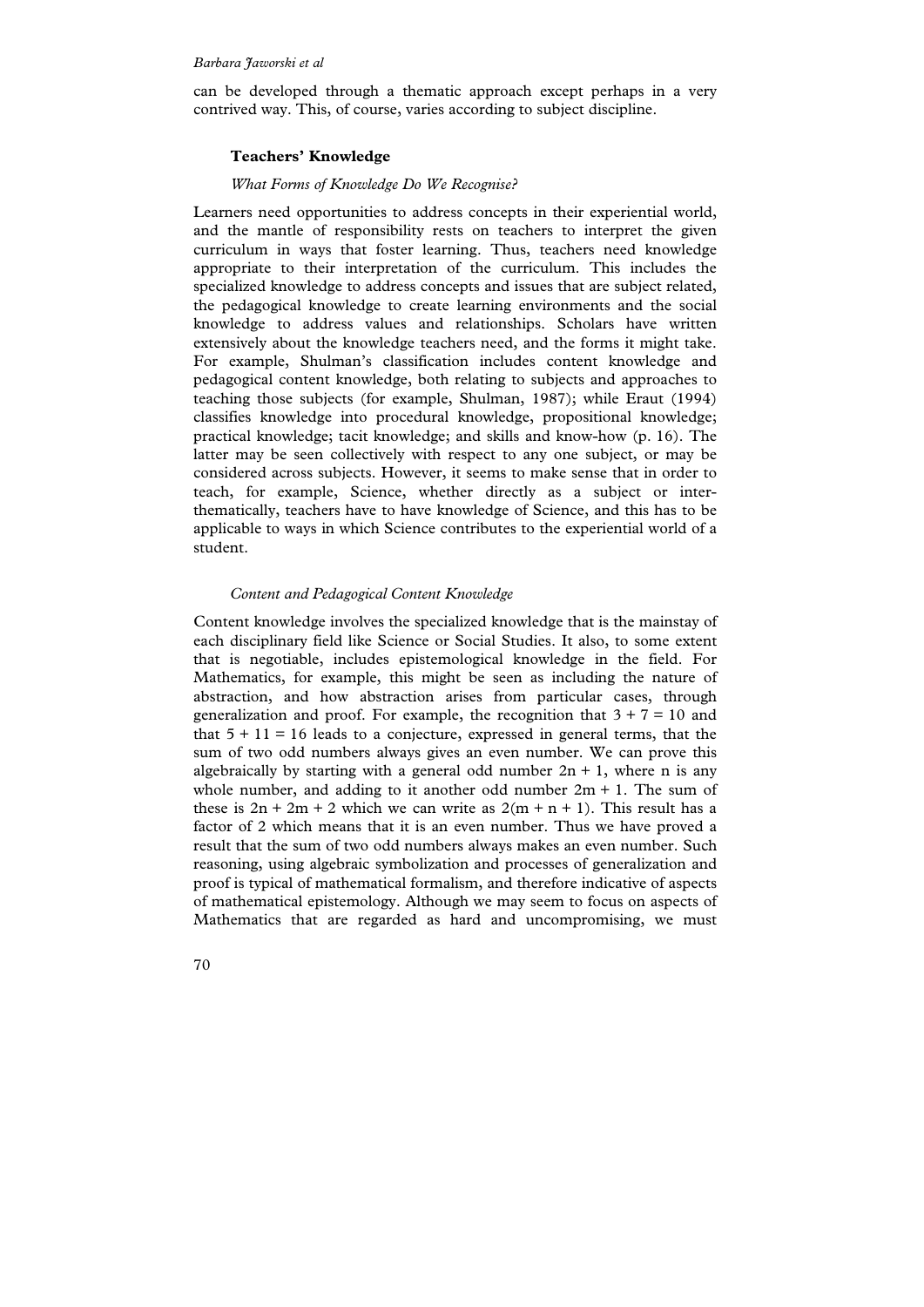can be developed through a thematic approach except perhaps in a very contrived way. This, of course, varies according to subject discipline.

#### **Teachers' Knowledge**

#### *What Forms of Knowledge Do We Recognise?*

Learners need opportunities to address concepts in their experiential world, and the mantle of responsibility rests on teachers to interpret the given curriculum in ways that foster learning. Thus, teachers need knowledge appropriate to their interpretation of the curriculum. This includes the specialized knowledge to address concepts and issues that are subject related, the pedagogical knowledge to create learning environments and the social knowledge to address values and relationships. Scholars have written extensively about the knowledge teachers need, and the forms it might take. For example, Shulman's classification includes content knowledge and pedagogical content knowledge, both relating to subjects and approaches to teaching those subjects (for example, Shulman, 1987); while Eraut (1994) classifies knowledge into procedural knowledge, propositional knowledge; practical knowledge; tacit knowledge; and skills and know-how (p. 16). The latter may be seen collectively with respect to any one subject, or may be considered across subjects. However, it seems to make sense that in order to teach, for example, Science, whether directly as a subject or interthematically, teachers have to have knowledge of Science, and this has to be applicable to ways in which Science contributes to the experiential world of a student.

#### *Content and Pedagogical Content Knowledge*

Content knowledge involves the specialized knowledge that is the mainstay of each disciplinary field like Science or Social Studies. It also, to some extent that is negotiable, includes epistemological knowledge in the field. For Mathematics, for example, this might be seen as including the nature of abstraction, and how abstraction arises from particular cases, through generalization and proof. For example, the recognition that  $3 + 7 = 10$  and that  $5 + 11 = 16$  leads to a conjecture, expressed in general terms, that the sum of two odd numbers always gives an even number. We can prove this algebraically by starting with a general odd number  $2n + 1$ , where n is any whole number, and adding to it another odd number  $2m + 1$ . The sum of these is  $2n + 2m + 2$  which we can write as  $2(m + n + 1)$ . This result has a factor of 2 which means that it is an even number. Thus we have proved a result that the sum of two odd numbers always makes an even number. Such reasoning, using algebraic symbolization and processes of generalization and proof is typical of mathematical formalism, and therefore indicative of aspects of mathematical epistemology. Although we may seem to focus on aspects of Mathematics that are regarded as hard and uncompromising, we must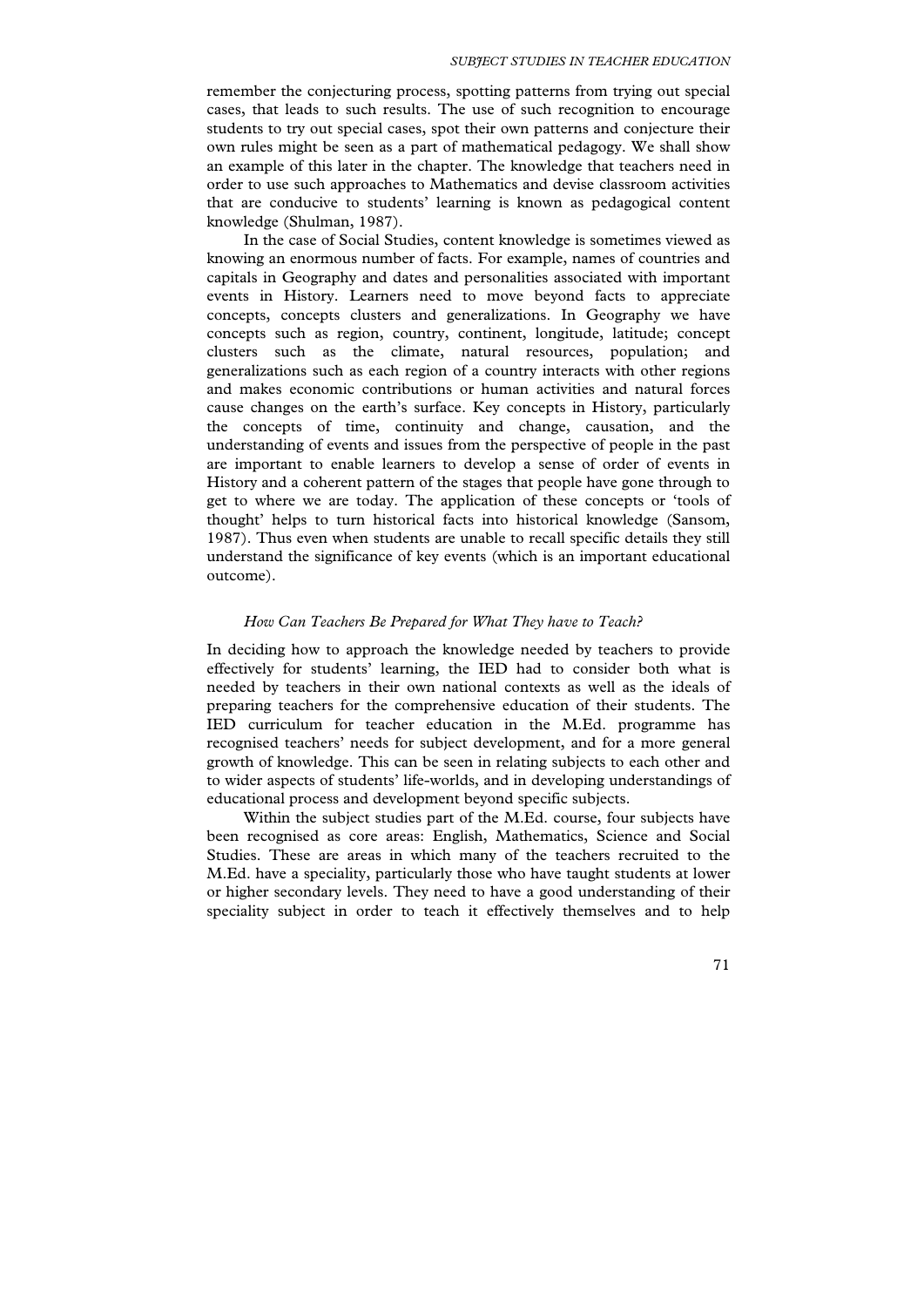#### *SUBJECT STUDIES IN TEACHER EDUCATION*

remember the conjecturing process, spotting patterns from trying out special cases, that leads to such results. The use of such recognition to encourage students to try out special cases, spot their own patterns and conjecture their own rules might be seen as a part of mathematical pedagogy. We shall show an example of this later in the chapter. The knowledge that teachers need in order to use such approaches to Mathematics and devise classroom activities that are conducive to students' learning is known as pedagogical content knowledge (Shulman, 1987).

In the case of Social Studies, content knowledge is sometimes viewed as knowing an enormous number of facts. For example, names of countries and capitals in Geography and dates and personalities associated with important events in History. Learners need to move beyond facts to appreciate concepts, concepts clusters and generalizations. In Geography we have concepts such as region, country, continent, longitude, latitude; concept clusters such as the climate, natural resources, population; and generalizations such as each region of a country interacts with other regions and makes economic contributions or human activities and natural forces cause changes on the earth's surface. Key concepts in History, particularly the concepts of time, continuity and change, causation, and the understanding of events and issues from the perspective of people in the past are important to enable learners to develop a sense of order of events in History and a coherent pattern of the stages that people have gone through to get to where we are today. The application of these concepts or 'tools of thought' helps to turn historical facts into historical knowledge (Sansom, 1987). Thus even when students are unable to recall specific details they still understand the significance of key events (which is an important educational outcome).

#### *How Can Teachers Be Prepared for What They have to Teach?*

In deciding how to approach the knowledge needed by teachers to provide effectively for students' learning, the IED had to consider both what is needed by teachers in their own national contexts as well as the ideals of preparing teachers for the comprehensive education of their students. The IED curriculum for teacher education in the M.Ed. programme has recognised teachers' needs for subject development, and for a more general growth of knowledge. This can be seen in relating subjects to each other and to wider aspects of students' life-worlds, and in developing understandings of educational process and development beyond specific subjects.

Within the subject studies part of the M.Ed. course, four subjects have been recognised as core areas: English, Mathematics, Science and Social Studies. These are areas in which many of the teachers recruited to the M.Ed. have a speciality, particularly those who have taught students at lower or higher secondary levels. They need to have a good understanding of their speciality subject in order to teach it effectively themselves and to help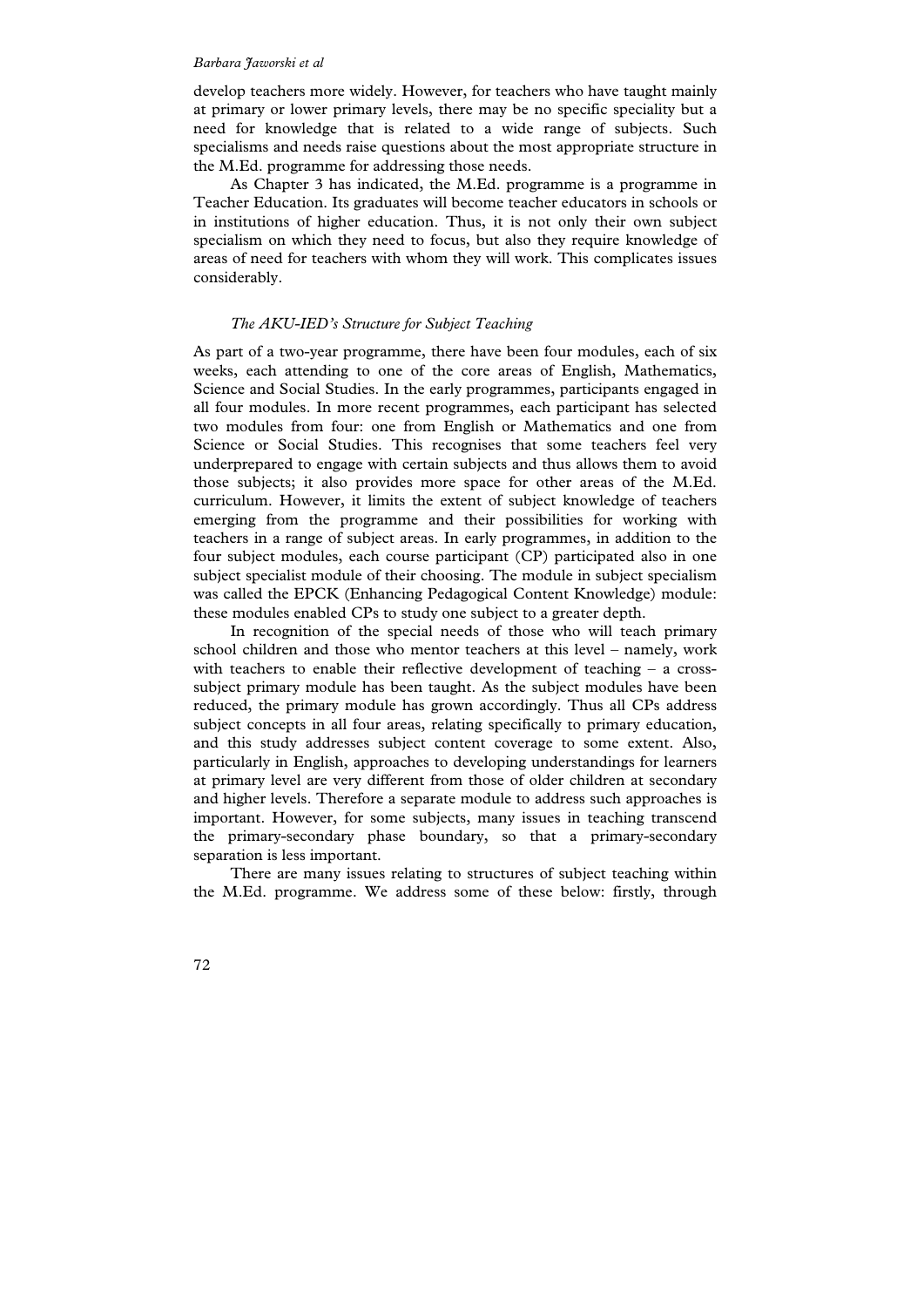develop teachers more widely. However, for teachers who have taught mainly at primary or lower primary levels, there may be no specific speciality but a need for knowledge that is related to a wide range of subjects. Such specialisms and needs raise questions about the most appropriate structure in the M.Ed. programme for addressing those needs.

As Chapter 3 has indicated, the M.Ed. programme is a programme in Teacher Education. Its graduates will become teacher educators in schools or in institutions of higher education. Thus, it is not only their own subject specialism on which they need to focus, but also they require knowledge of areas of need for teachers with whom they will work. This complicates issues considerably.

#### *The AKU-IED's Structure for Subject Teaching*

As part of a two-year programme, there have been four modules, each of six weeks, each attending to one of the core areas of English, Mathematics, Science and Social Studies. In the early programmes, participants engaged in all four modules. In more recent programmes, each participant has selected two modules from four: one from English or Mathematics and one from Science or Social Studies. This recognises that some teachers feel very underprepared to engage with certain subjects and thus allows them to avoid those subjects; it also provides more space for other areas of the M.Ed. curriculum. However, it limits the extent of subject knowledge of teachers emerging from the programme and their possibilities for working with teachers in a range of subject areas. In early programmes, in addition to the four subject modules, each course participant (CP) participated also in one subject specialist module of their choosing. The module in subject specialism was called the EPCK (Enhancing Pedagogical Content Knowledge) module: these modules enabled CPs to study one subject to a greater depth.

In recognition of the special needs of those who will teach primary school children and those who mentor teachers at this level – namely, work with teachers to enable their reflective development of teaching  $-$  a crosssubject primary module has been taught. As the subject modules have been reduced, the primary module has grown accordingly. Thus all CPs address subject concepts in all four areas, relating specifically to primary education, and this study addresses subject content coverage to some extent. Also, particularly in English, approaches to developing understandings for learners at primary level are very different from those of older children at secondary and higher levels. Therefore a separate module to address such approaches is important. However, for some subjects, many issues in teaching transcend the primary-secondary phase boundary, so that a primary-secondary separation is less important.

There are many issues relating to structures of subject teaching within the M.Ed. programme. We address some of these below: firstly, through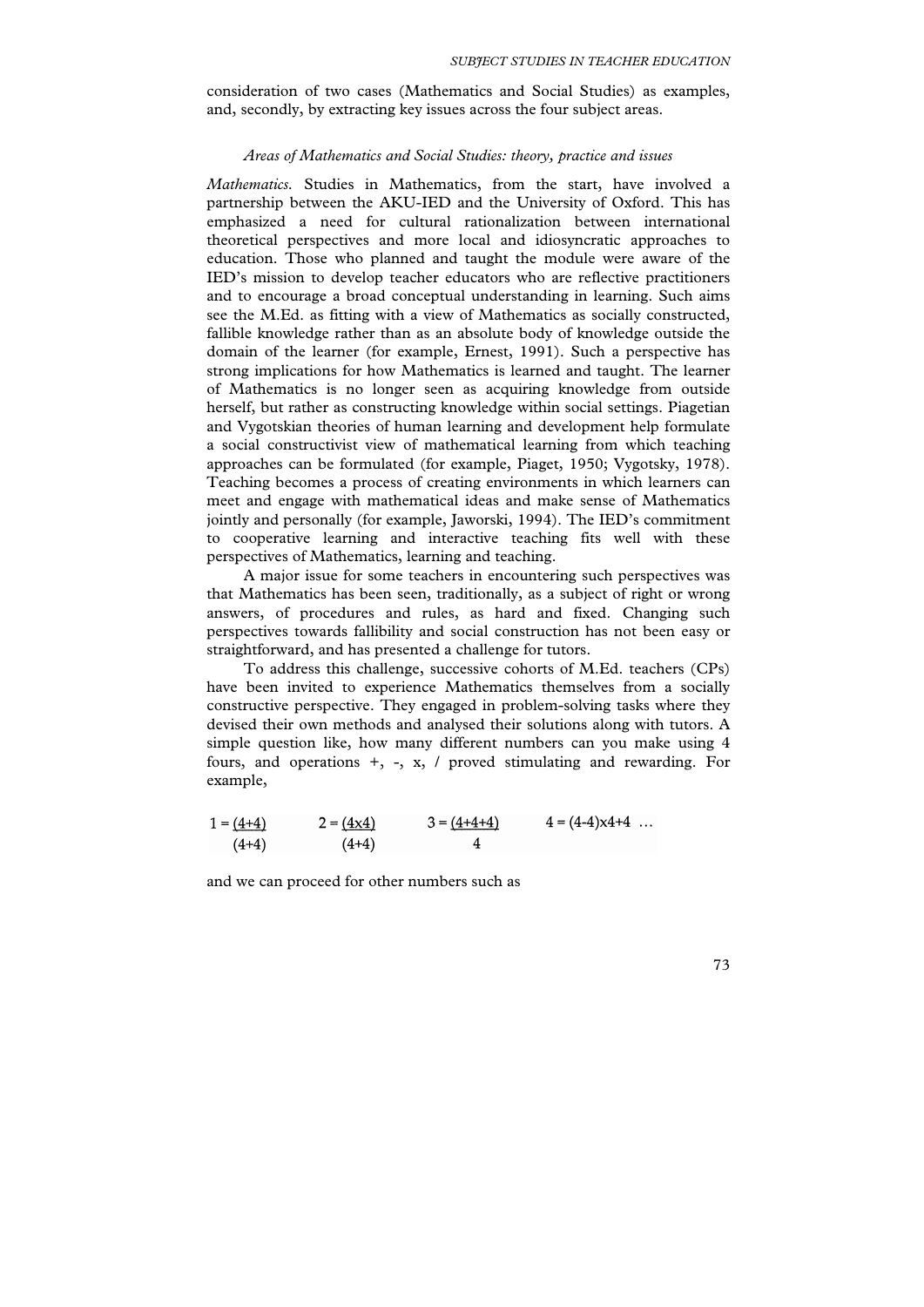consideration of two cases (Mathematics and Social Studies) as examples, and, secondly, by extracting key issues across the four subject areas.

#### *Areas of Mathematics and Social Studies: theory, practice and issues*

*Mathematics.* Studies in Mathematics, from the start, have involved a partnership between the AKU-IED and the University of Oxford. This has emphasized a need for cultural rationalization between international theoretical perspectives and more local and idiosyncratic approaches to education. Those who planned and taught the module were aware of the IED's mission to develop teacher educators who are reflective practitioners and to encourage a broad conceptual understanding in learning. Such aims see the M.Ed. as fitting with a view of Mathematics as socially constructed, fallible knowledge rather than as an absolute body of knowledge outside the domain of the learner (for example, Ernest, 1991). Such a perspective has strong implications for how Mathematics is learned and taught. The learner of Mathematics is no longer seen as acquiring knowledge from outside herself, but rather as constructing knowledge within social settings. Piagetian and Vygotskian theories of human learning and development help formulate a social constructivist view of mathematical learning from which teaching approaches can be formulated (for example, Piaget, 1950; Vygotsky, 1978). Teaching becomes a process of creating environments in which learners can meet and engage with mathematical ideas and make sense of Mathematics jointly and personally (for example, Jaworski, 1994). The IED's commitment to cooperative learning and interactive teaching fits well with these perspectives of Mathematics, learning and teaching.

A major issue for some teachers in encountering such perspectives was that Mathematics has been seen, traditionally, as a subject of right or wrong answers, of procedures and rules, as hard and fixed. Changing such perspectives towards fallibility and social construction has not been easy or straightforward, and has presented a challenge for tutors.

To address this challenge, successive cohorts of M.Ed. teachers (CPs) have been invited to experience Mathematics themselves from a socially constructive perspective. They engaged in problem-solving tasks where they devised their own methods and analysed their solutions along with tutors. A simple question like, how many different numbers can you make using 4 fours, and operations +, -, x, / proved stimulating and rewarding. For example,

 $4 = (4-4)x4+4$  ...  $1 = (4+4)$  $2 = (4x4)$  $3 = (4+4+4)$  $(4+4)$  $(4+4)$  $\overline{4}$ 

and we can proceed for other numbers such as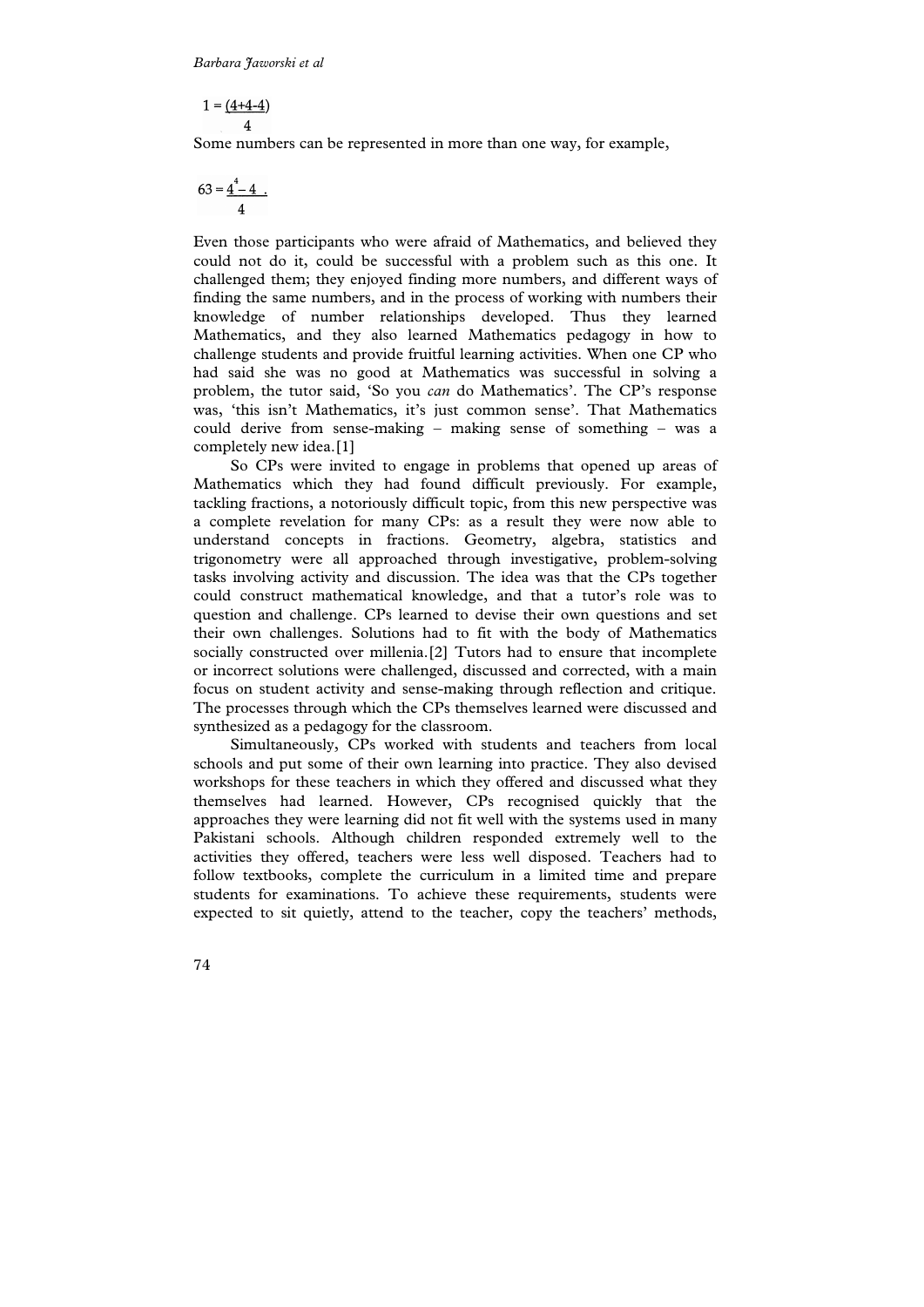$$
1=\underline{(4+4-4)}
$$

$$
\frac{4}{2}
$$

Some numbers can be represented in more than one way, for example,

$$
63 = \frac{4^4 - 4}{4}
$$

Even those participants who were afraid of Mathematics, and believed they could not do it, could be successful with a problem such as this one. It challenged them; they enjoyed finding more numbers, and different ways of finding the same numbers, and in the process of working with numbers their knowledge of number relationships developed. Thus they learned Mathematics, and they also learned Mathematics pedagogy in how to challenge students and provide fruitful learning activities. When one CP who had said she was no good at Mathematics was successful in solving a problem, the tutor said, 'So you *can* do Mathematics'. The CP's response was, 'this isn't Mathematics, it's just common sense'. That Mathematics could derive from sense-making – making sense of something – was a completely new idea.[1]

So CPs were invited to engage in problems that opened up areas of Mathematics which they had found difficult previously. For example, tackling fractions, a notoriously difficult topic, from this new perspective was a complete revelation for many CPs: as a result they were now able to understand concepts in fractions. Geometry, algebra, statistics and trigonometry were all approached through investigative, problem-solving tasks involving activity and discussion. The idea was that the CPs together could construct mathematical knowledge, and that a tutor's role was to question and challenge. CPs learned to devise their own questions and set their own challenges. Solutions had to fit with the body of Mathematics socially constructed over millenia.[2] Tutors had to ensure that incomplete or incorrect solutions were challenged, discussed and corrected, with a main focus on student activity and sense-making through reflection and critique. The processes through which the CPs themselves learned were discussed and synthesized as a pedagogy for the classroom.

Simultaneously, CPs worked with students and teachers from local schools and put some of their own learning into practice. They also devised workshops for these teachers in which they offered and discussed what they themselves had learned. However, CPs recognised quickly that the approaches they were learning did not fit well with the systems used in many Pakistani schools. Although children responded extremely well to the activities they offered, teachers were less well disposed. Teachers had to follow textbooks, complete the curriculum in a limited time and prepare students for examinations. To achieve these requirements, students were expected to sit quietly, attend to the teacher, copy the teachers' methods,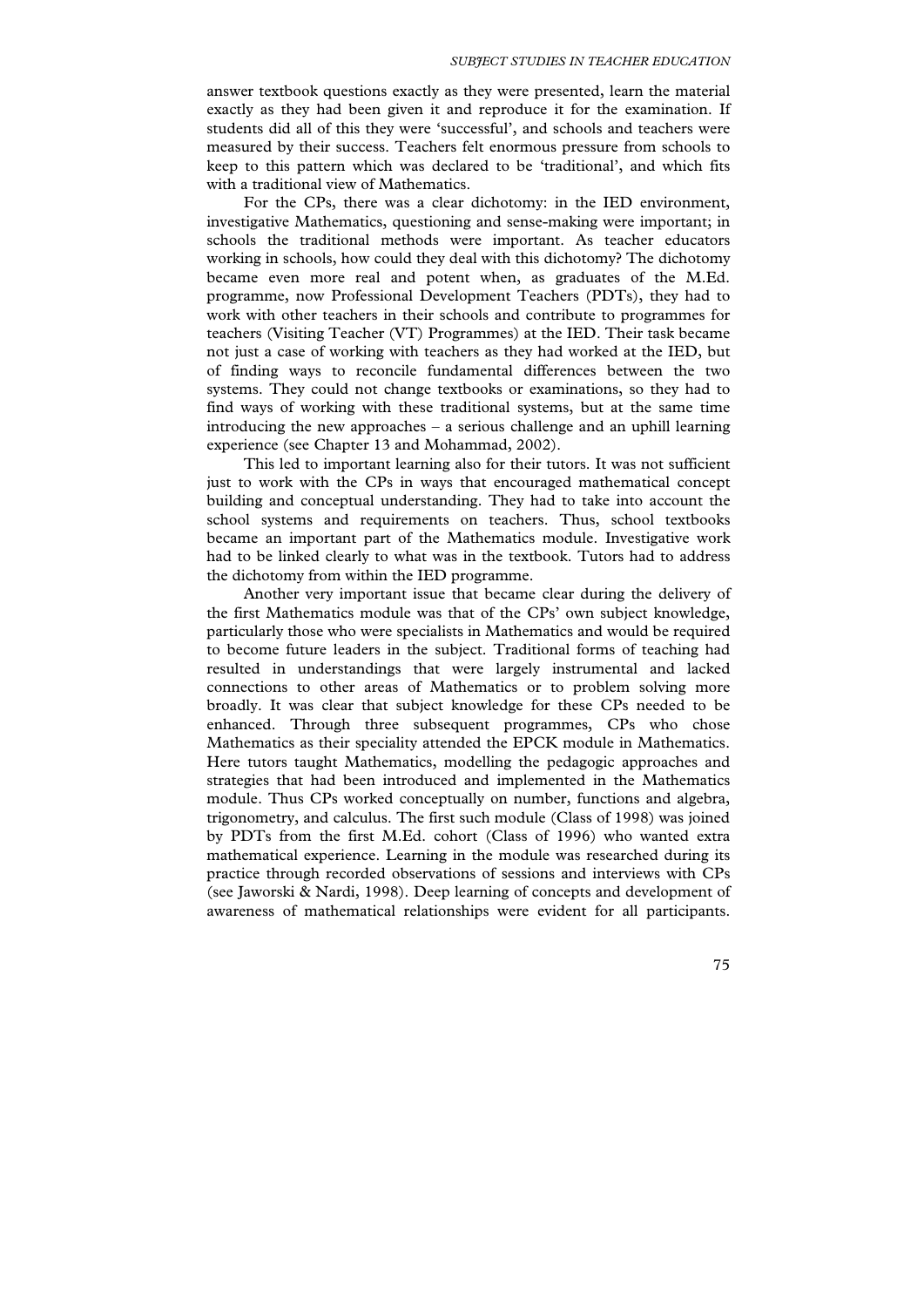answer textbook questions exactly as they were presented, learn the material exactly as they had been given it and reproduce it for the examination. If students did all of this they were 'successful', and schools and teachers were measured by their success. Teachers felt enormous pressure from schools to keep to this pattern which was declared to be 'traditional', and which fits with a traditional view of Mathematics.

For the CPs, there was a clear dichotomy: in the IED environment, investigative Mathematics, questioning and sense-making were important; in schools the traditional methods were important. As teacher educators working in schools, how could they deal with this dichotomy? The dichotomy became even more real and potent when, as graduates of the M.Ed. programme, now Professional Development Teachers (PDTs), they had to work with other teachers in their schools and contribute to programmes for teachers (Visiting Teacher (VT) Programmes) at the IED. Their task became not just a case of working with teachers as they had worked at the IED, but of finding ways to reconcile fundamental differences between the two systems. They could not change textbooks or examinations, so they had to find ways of working with these traditional systems, but at the same time introducing the new approaches – a serious challenge and an uphill learning experience (see Chapter 13 and Mohammad, 2002).

This led to important learning also for their tutors. It was not sufficient just to work with the CPs in ways that encouraged mathematical concept building and conceptual understanding. They had to take into account the school systems and requirements on teachers. Thus, school textbooks became an important part of the Mathematics module. Investigative work had to be linked clearly to what was in the textbook. Tutors had to address the dichotomy from within the IED programme.

Another very important issue that became clear during the delivery of the first Mathematics module was that of the CPs' own subject knowledge, particularly those who were specialists in Mathematics and would be required to become future leaders in the subject. Traditional forms of teaching had resulted in understandings that were largely instrumental and lacked connections to other areas of Mathematics or to problem solving more broadly. It was clear that subject knowledge for these CPs needed to be enhanced. Through three subsequent programmes, CPs who chose Mathematics as their speciality attended the EPCK module in Mathematics. Here tutors taught Mathematics, modelling the pedagogic approaches and strategies that had been introduced and implemented in the Mathematics module. Thus CPs worked conceptually on number, functions and algebra, trigonometry, and calculus. The first such module (Class of 1998) was joined by PDTs from the first M.Ed. cohort (Class of 1996) who wanted extra mathematical experience. Learning in the module was researched during its practice through recorded observations of sessions and interviews with CPs (see Jaworski & Nardi, 1998). Deep learning of concepts and development of awareness of mathematical relationships were evident for all participants.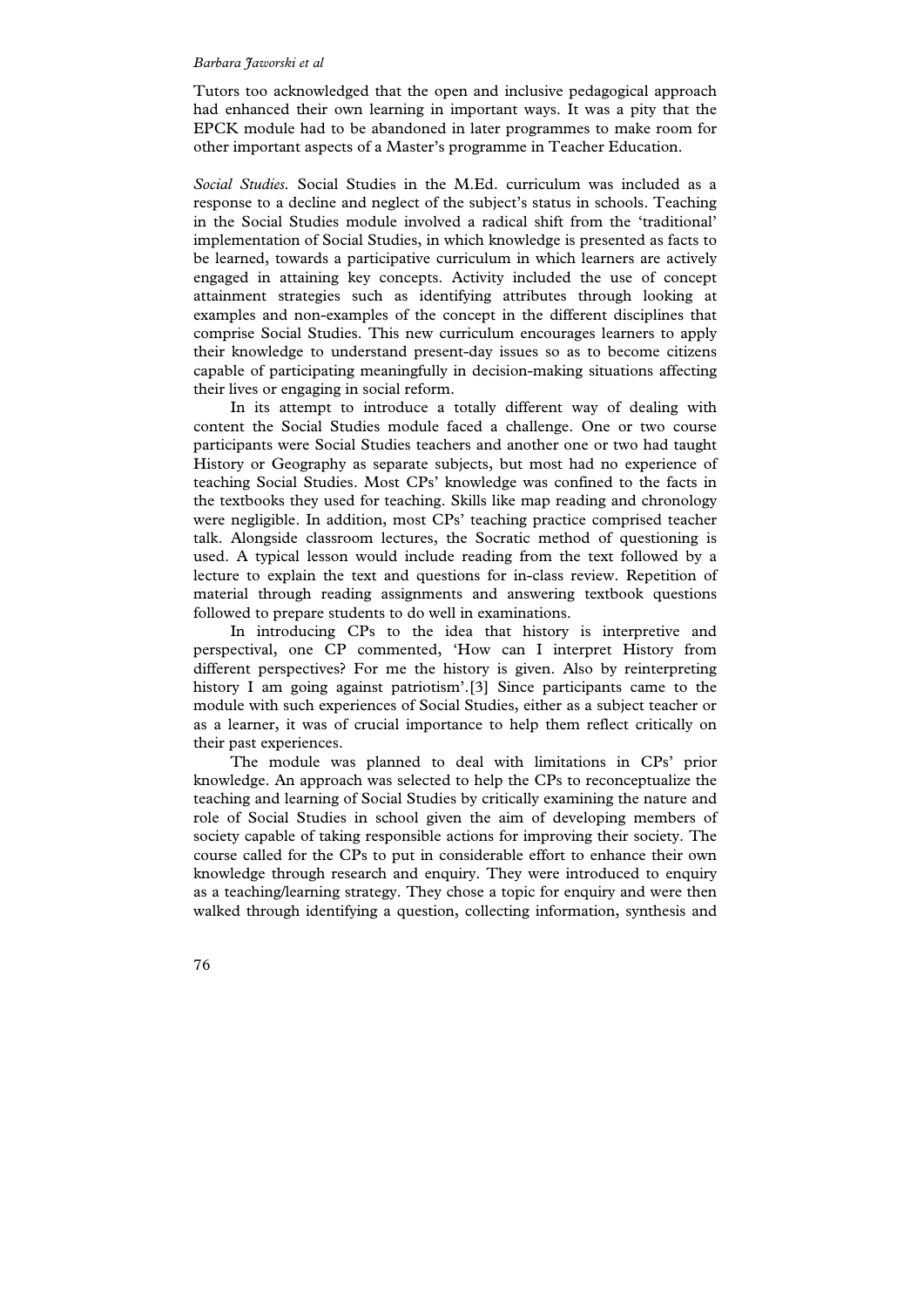Tutors too acknowledged that the open and inclusive pedagogical approach had enhanced their own learning in important ways. It was a pity that the EPCK module had to be abandoned in later programmes to make room for other important aspects of a Master's programme in Teacher Education.

*Social Studies.* Social Studies in the M.Ed. curriculum was included as a response to a decline and neglect of the subject's status in schools. Teaching in the Social Studies module involved a radical shift from the 'traditional' implementation of Social Studies, in which knowledge is presented as facts to be learned, towards a participative curriculum in which learners are actively engaged in attaining key concepts. Activity included the use of concept attainment strategies such as identifying attributes through looking at examples and non-examples of the concept in the different disciplines that comprise Social Studies. This new curriculum encourages learners to apply their knowledge to understand present-day issues so as to become citizens capable of participating meaningfully in decision-making situations affecting their lives or engaging in social reform.

In its attempt to introduce a totally different way of dealing with content the Social Studies module faced a challenge. One or two course participants were Social Studies teachers and another one or two had taught History or Geography as separate subjects, but most had no experience of teaching Social Studies. Most CPs' knowledge was confined to the facts in the textbooks they used for teaching. Skills like map reading and chronology were negligible. In addition, most CPs' teaching practice comprised teacher talk. Alongside classroom lectures, the Socratic method of questioning is used. A typical lesson would include reading from the text followed by a lecture to explain the text and questions for in-class review. Repetition of material through reading assignments and answering textbook questions followed to prepare students to do well in examinations.

In introducing CPs to the idea that history is interpretive and perspectival, one CP commented, 'How can I interpret History from different perspectives? For me the history is given. Also by reinterpreting history I am going against patriotism'.[3] Since participants came to the module with such experiences of Social Studies, either as a subject teacher or as a learner, it was of crucial importance to help them reflect critically on their past experiences.

The module was planned to deal with limitations in CPs' prior knowledge. An approach was selected to help the CPs to reconceptualize the teaching and learning of Social Studies by critically examining the nature and role of Social Studies in school given the aim of developing members of society capable of taking responsible actions for improving their society. The course called for the CPs to put in considerable effort to enhance their own knowledge through research and enquiry. They were introduced to enquiry as a teaching/learning strategy. They chose a topic for enquiry and were then walked through identifying a question, collecting information, synthesis and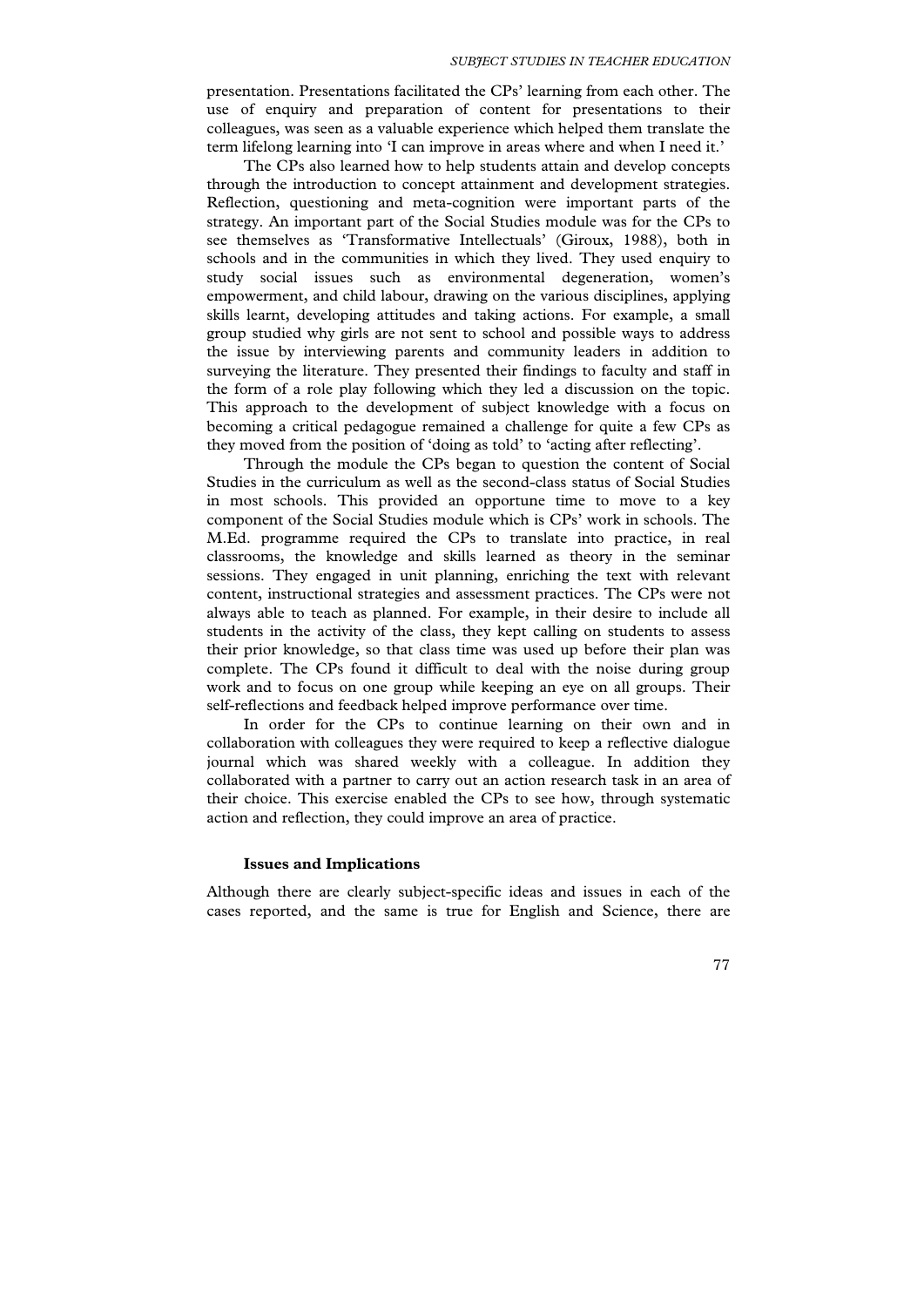#### *SUBJECT STUDIES IN TEACHER EDUCATION*

presentation. Presentations facilitated the CPs' learning from each other. The use of enquiry and preparation of content for presentations to their colleagues, was seen as a valuable experience which helped them translate the term lifelong learning into 'I can improve in areas where and when I need it.'

The CPs also learned how to help students attain and develop concepts through the introduction to concept attainment and development strategies. Reflection, questioning and meta-cognition were important parts of the strategy. An important part of the Social Studies module was for the CPs to see themselves as 'Transformative Intellectuals' (Giroux, 1988), both in schools and in the communities in which they lived. They used enquiry to study social issues such as environmental degeneration, women's empowerment, and child labour, drawing on the various disciplines, applying skills learnt, developing attitudes and taking actions. For example, a small group studied why girls are not sent to school and possible ways to address the issue by interviewing parents and community leaders in addition to surveying the literature. They presented their findings to faculty and staff in the form of a role play following which they led a discussion on the topic. This approach to the development of subject knowledge with a focus on becoming a critical pedagogue remained a challenge for quite a few CPs as they moved from the position of 'doing as told' to 'acting after reflecting'.

Through the module the CPs began to question the content of Social Studies in the curriculum as well as the second-class status of Social Studies in most schools. This provided an opportune time to move to a key component of the Social Studies module which is CPs' work in schools. The M.Ed. programme required the CPs to translate into practice, in real classrooms, the knowledge and skills learned as theory in the seminar sessions. They engaged in unit planning, enriching the text with relevant content, instructional strategies and assessment practices. The CPs were not always able to teach as planned. For example, in their desire to include all students in the activity of the class, they kept calling on students to assess their prior knowledge, so that class time was used up before their plan was complete. The CPs found it difficult to deal with the noise during group work and to focus on one group while keeping an eye on all groups. Their self-reflections and feedback helped improve performance over time.

In order for the CPs to continue learning on their own and in collaboration with colleagues they were required to keep a reflective dialogue journal which was shared weekly with a colleague. In addition they collaborated with a partner to carry out an action research task in an area of their choice. This exercise enabled the CPs to see how, through systematic action and reflection, they could improve an area of practice.

#### **Issues and Implications**

Although there are clearly subject-specific ideas and issues in each of the cases reported, and the same is true for English and Science, there are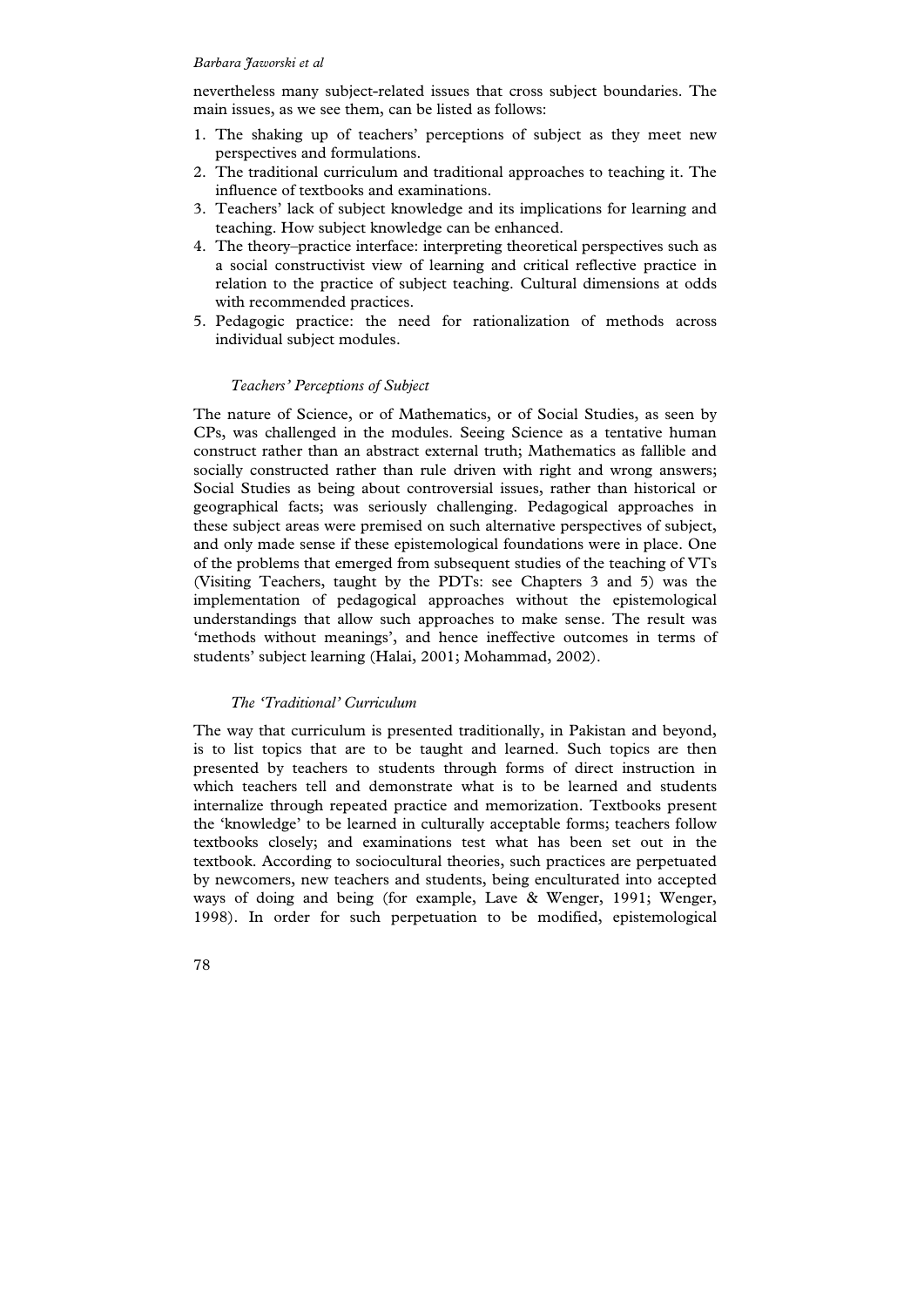nevertheless many subject-related issues that cross subject boundaries. The main issues, as we see them, can be listed as follows:

- 1. The shaking up of teachers' perceptions of subject as they meet new perspectives and formulations.
- 2. The traditional curriculum and traditional approaches to teaching it. The influence of textbooks and examinations.
- 3. Teachers' lack of subject knowledge and its implications for learning and teaching. How subject knowledge can be enhanced.
- 4. The theory–practice interface: interpreting theoretical perspectives such as a social constructivist view of learning and critical reflective practice in relation to the practice of subject teaching. Cultural dimensions at odds with recommended practices.
- 5. Pedagogic practice: the need for rationalization of methods across individual subject modules.

#### *Teachers' Perceptions of Subject*

The nature of Science, or of Mathematics, or of Social Studies, as seen by CPs, was challenged in the modules. Seeing Science as a tentative human construct rather than an abstract external truth; Mathematics as fallible and socially constructed rather than rule driven with right and wrong answers; Social Studies as being about controversial issues, rather than historical or geographical facts; was seriously challenging. Pedagogical approaches in these subject areas were premised on such alternative perspectives of subject, and only made sense if these epistemological foundations were in place. One of the problems that emerged from subsequent studies of the teaching of VTs (Visiting Teachers, taught by the PDTs: see Chapters 3 and 5) was the implementation of pedagogical approaches without the epistemological understandings that allow such approaches to make sense. The result was 'methods without meanings', and hence ineffective outcomes in terms of students' subject learning (Halai, 2001; Mohammad, 2002).

#### *The 'Traditional' Curriculum*

The way that curriculum is presented traditionally, in Pakistan and beyond, is to list topics that are to be taught and learned. Such topics are then presented by teachers to students through forms of direct instruction in which teachers tell and demonstrate what is to be learned and students internalize through repeated practice and memorization. Textbooks present the 'knowledge' to be learned in culturally acceptable forms; teachers follow textbooks closely; and examinations test what has been set out in the textbook. According to sociocultural theories, such practices are perpetuated by newcomers, new teachers and students, being enculturated into accepted ways of doing and being (for example, Lave & Wenger, 1991; Wenger, 1998). In order for such perpetuation to be modified, epistemological

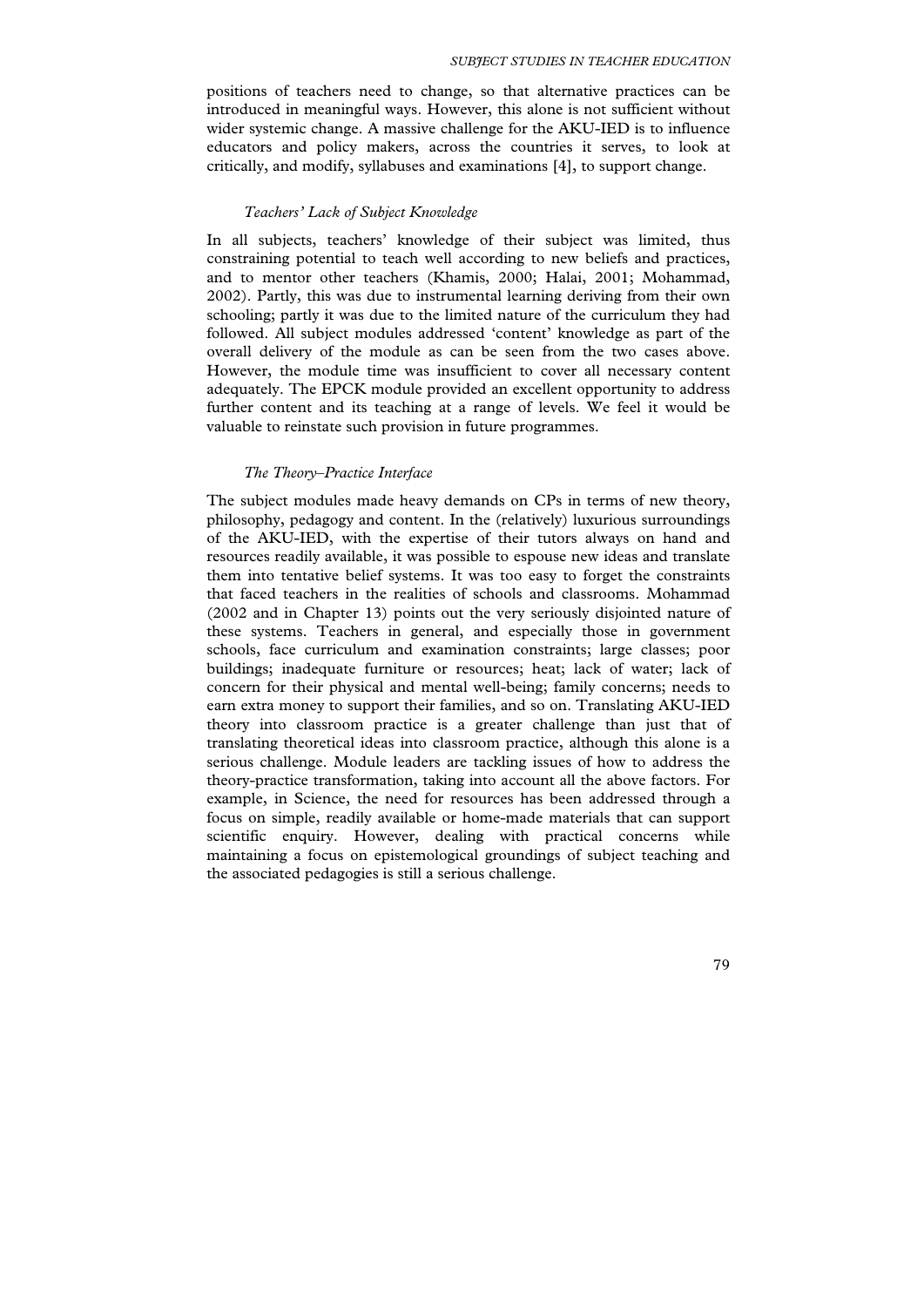#### *SUBJECT STUDIES IN TEACHER EDUCATION*

positions of teachers need to change, so that alternative practices can be introduced in meaningful ways. However, this alone is not sufficient without wider systemic change. A massive challenge for the AKU-IED is to influence educators and policy makers, across the countries it serves, to look at critically, and modify, syllabuses and examinations [4], to support change.

#### *Teachers' Lack of Subject Knowledge*

In all subjects, teachers' knowledge of their subject was limited, thus constraining potential to teach well according to new beliefs and practices, and to mentor other teachers (Khamis, 2000; Halai, 2001; Mohammad, 2002). Partly, this was due to instrumental learning deriving from their own schooling; partly it was due to the limited nature of the curriculum they had followed. All subject modules addressed 'content' knowledge as part of the overall delivery of the module as can be seen from the two cases above. However, the module time was insufficient to cover all necessary content adequately. The EPCK module provided an excellent opportunity to address further content and its teaching at a range of levels. We feel it would be valuable to reinstate such provision in future programmes.

#### *The Theory–Practice Interface*

The subject modules made heavy demands on CPs in terms of new theory, philosophy, pedagogy and content. In the (relatively) luxurious surroundings of the AKU-IED, with the expertise of their tutors always on hand and resources readily available, it was possible to espouse new ideas and translate them into tentative belief systems. It was too easy to forget the constraints that faced teachers in the realities of schools and classrooms. Mohammad (2002 and in Chapter 13) points out the very seriously disjointed nature of these systems. Teachers in general, and especially those in government schools, face curriculum and examination constraints; large classes; poor buildings; inadequate furniture or resources; heat; lack of water; lack of concern for their physical and mental well-being; family concerns; needs to earn extra money to support their families, and so on. Translating AKU-IED theory into classroom practice is a greater challenge than just that of translating theoretical ideas into classroom practice, although this alone is a serious challenge. Module leaders are tackling issues of how to address the theory-practice transformation, taking into account all the above factors. For example, in Science, the need for resources has been addressed through a focus on simple, readily available or home-made materials that can support scientific enquiry. However, dealing with practical concerns while maintaining a focus on epistemological groundings of subject teaching and the associated pedagogies is still a serious challenge.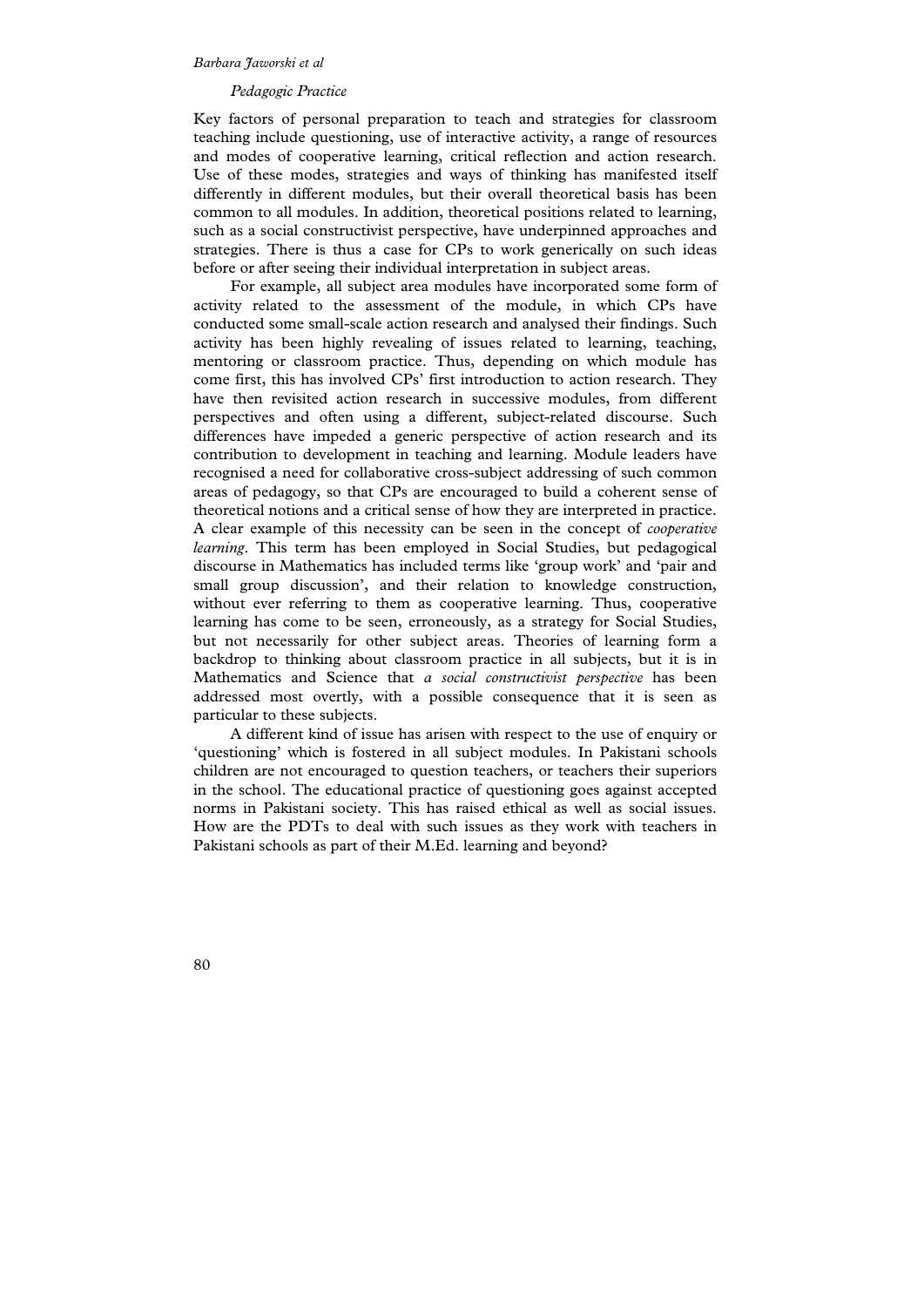#### *Pedagogic Practice*

Key factors of personal preparation to teach and strategies for classroom teaching include questioning, use of interactive activity, a range of resources and modes of cooperative learning, critical reflection and action research. Use of these modes, strategies and ways of thinking has manifested itself differently in different modules, but their overall theoretical basis has been common to all modules. In addition, theoretical positions related to learning, such as a social constructivist perspective, have underpinned approaches and strategies. There is thus a case for CPs to work generically on such ideas before or after seeing their individual interpretation in subject areas.

For example, all subject area modules have incorporated some form of activity related to the assessment of the module, in which CPs have conducted some small-scale action research and analysed their findings. Such activity has been highly revealing of issues related to learning, teaching, mentoring or classroom practice. Thus, depending on which module has come first, this has involved CPs' first introduction to action research. They have then revisited action research in successive modules, from different perspectives and often using a different, subject-related discourse. Such differences have impeded a generic perspective of action research and its contribution to development in teaching and learning. Module leaders have recognised a need for collaborative cross-subject addressing of such common areas of pedagogy, so that CPs are encouraged to build a coherent sense of theoretical notions and a critical sense of how they are interpreted in practice. A clear example of this necessity can be seen in the concept of *cooperative learning*. This term has been employed in Social Studies, but pedagogical discourse in Mathematics has included terms like 'group work' and 'pair and small group discussion', and their relation to knowledge construction, without ever referring to them as cooperative learning. Thus, cooperative learning has come to be seen, erroneously, as a strategy for Social Studies, but not necessarily for other subject areas. Theories of learning form a backdrop to thinking about classroom practice in all subjects, but it is in Mathematics and Science that *a social constructivist perspective* has been addressed most overtly, with a possible consequence that it is seen as particular to these subjects.

A different kind of issue has arisen with respect to the use of enquiry or 'questioning' which is fostered in all subject modules. In Pakistani schools children are not encouraged to question teachers, or teachers their superiors in the school. The educational practice of questioning goes against accepted norms in Pakistani society. This has raised ethical as well as social issues. How are the PDTs to deal with such issues as they work with teachers in Pakistani schools as part of their M.Ed. learning and beyond?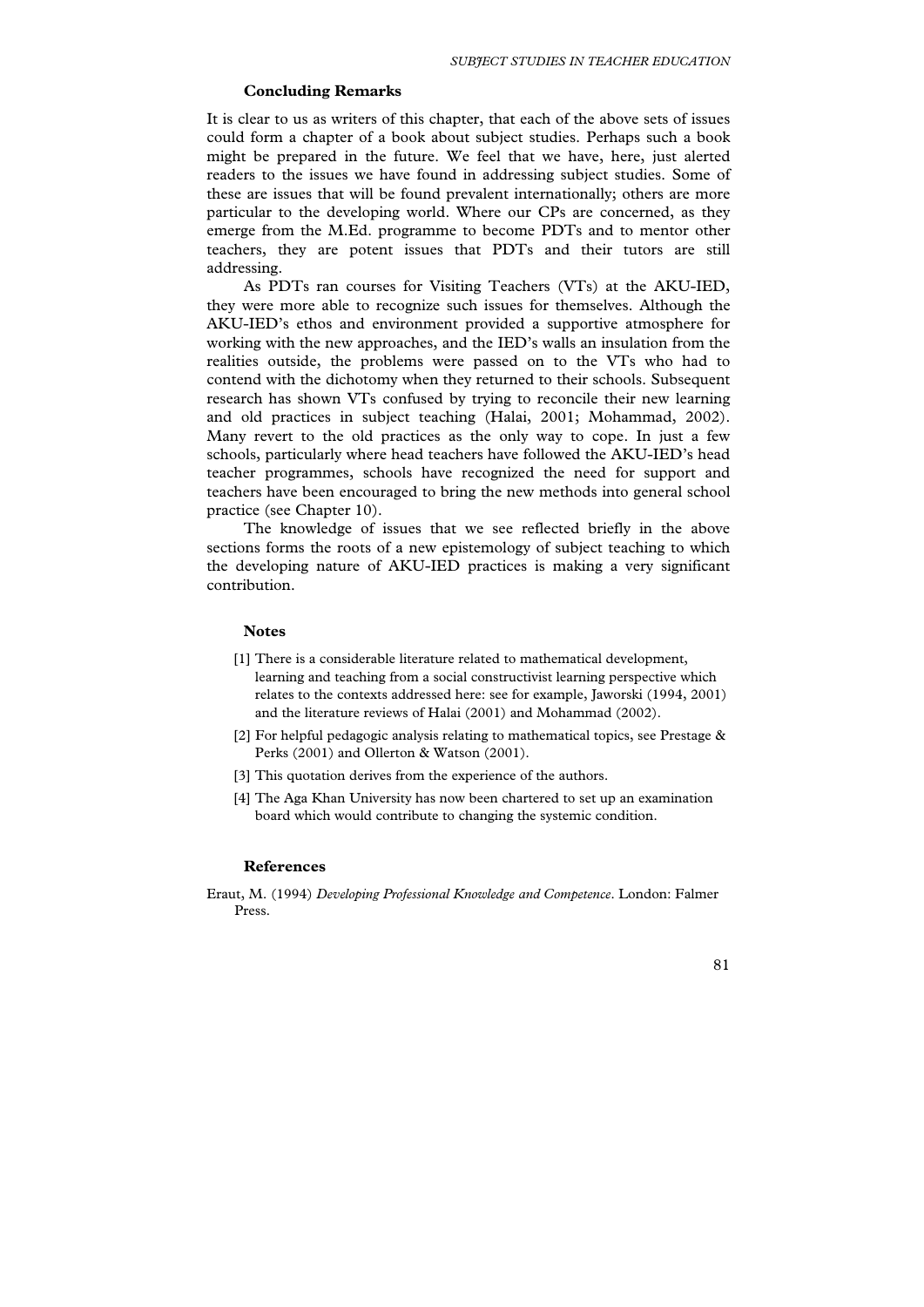### **Concluding Remarks**

It is clear to us as writers of this chapter, that each of the above sets of issues could form a chapter of a book about subject studies. Perhaps such a book might be prepared in the future. We feel that we have, here, just alerted readers to the issues we have found in addressing subject studies. Some of these are issues that will be found prevalent internationally; others are more particular to the developing world. Where our CPs are concerned, as they emerge from the M.Ed. programme to become PDTs and to mentor other teachers, they are potent issues that PDTs and their tutors are still addressing.

As PDTs ran courses for Visiting Teachers (VTs) at the AKU-IED, they were more able to recognize such issues for themselves. Although the AKU-IED's ethos and environment provided a supportive atmosphere for working with the new approaches, and the IED's walls an insulation from the realities outside, the problems were passed on to the VTs who had to contend with the dichotomy when they returned to their schools. Subsequent research has shown VTs confused by trying to reconcile their new learning and old practices in subject teaching (Halai, 2001; Mohammad, 2002). Many revert to the old practices as the only way to cope. In just a few schools, particularly where head teachers have followed the AKU-IED's head teacher programmes, schools have recognized the need for support and teachers have been encouraged to bring the new methods into general school practice (see Chapter 10).

The knowledge of issues that we see reflected briefly in the above sections forms the roots of a new epistemology of subject teaching to which the developing nature of AKU-IED practices is making a very significant contribution.

#### **Notes**

- [1] There is a considerable literature related to mathematical development, learning and teaching from a social constructivist learning perspective which relates to the contexts addressed here: see for example, Jaworski (1994, 2001) and the literature reviews of Halai (2001) and Mohammad (2002).
- [2] For helpful pedagogic analysis relating to mathematical topics, see Prestage & Perks (2001) and Ollerton & Watson (2001).
- [3] This quotation derives from the experience of the authors.
- [4] The Aga Khan University has now been chartered to set up an examination board which would contribute to changing the systemic condition.

#### **References**

Eraut, M. (1994) *Developing Professional Knowledge and Competence*. London: Falmer Press.